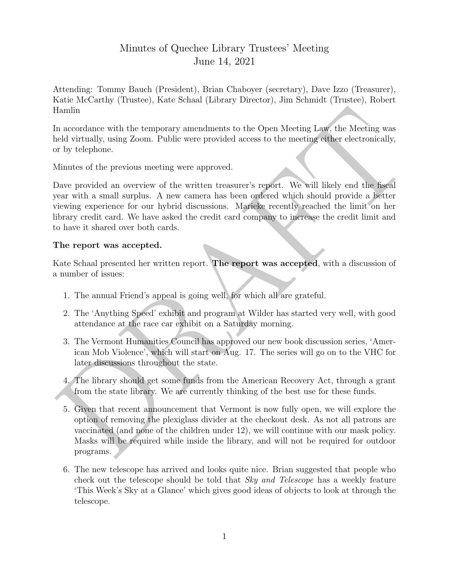## Minutes of Quechee Library Trustees' Meeting June 14, 2021

Attending: Tommy Bauch (President), Brian Chaboyer (secretary), Dave Izzo (Treasurer), Katie McCarthy (Trustee), Kate Schaal (Library Director), Jim Schmidt (Trustee), Robert Hamlin

In accordance with the temporary amendments to the Open Meeting Law, the Meeting was held virtually, using Zoom. Public were provided access to the meeting either electronically, or by telephone.

Minutes of the previous meeting were approved.

Hamlin and<br>colare with the temporary amendments to the Open Meeting Law, the Meeting was<br>nead virtually, using Zoom. Public were provided access to the meeting either electronically,<br>rely telephone.<br>Minutes of the previou Dave provided an overview of the written treasurer's report. We will likely end the fiscal year with a small surplus. A new camera has been ordered which should provide a better viewing experience for our hybrid discussions. Marieke recently reached the limit on her library credit card. We have asked the credit card company to increase the credit limit and to have it shared over both cards.

## The report was accepted.

Kate Schaal presented her written report. The report was accepted, with a discussion of a number of issues:

- 1. The annual Friend's appeal is going well, for which all are grateful.
- 2. The 'Anything Speed' exhibit and program at Wilder has started very well, with good attendance at the race car exhibit on a Saturday morning.
- 3. The Vermont Humanities Council has approved our new book discussion series, 'American Mob Violence', which will start on Aug. 17. The series will go on to the VHC for later discussions throughout the state.
- 4. The library should get some funds from the American Recovery Act, through a grant from the state library. We are currently thinking of the best use for these funds.
- 5. Given that recent announcement that Vermont is now fully open, we will explore the option of removing the plexiglass divider at the checkout desk. As not all patrons are vaccinated (and none of the children under 12), we will continue with our mask policy. Masks will be required while inside the library, and will not be required for outdoor programs.
- 6. The new telescope has arrived and looks quite nice. Brian suggested that people who check out the telescope should be told that Sky and Telescope has a weekly feature 'This Week's Sky at a Glance' which gives good ideas of objects to look at through the telescope.